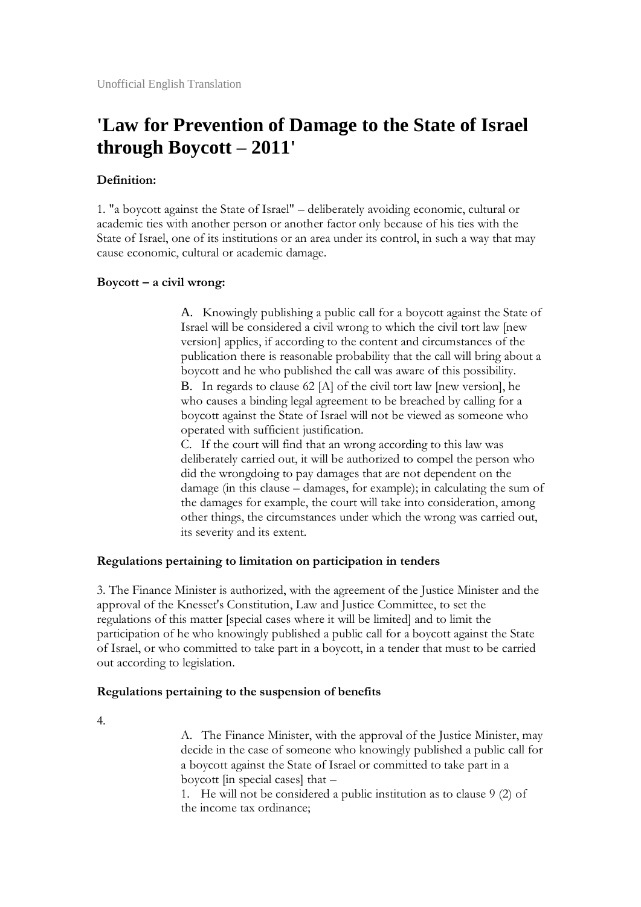# **'Law for Prevention of Damage to the State of Israel through Boycott – 2011'**

## **Definition:**

1. "a boycott against the State of Israel" – deliberately avoiding economic, cultural or academic ties with another person or another factor only because of his ties with the State of Israel, one of its institutions or an area under its control, in such a way that may cause economic, cultural or academic damage.

### **Boycott – a civil wrong:**

A. Knowingly publishing a public call for a boycott against the State of Israel will be considered a civil wrong to which the civil tort law [new version] applies, if according to the content and circumstances of the publication there is reasonable probability that the call will bring about a boycott and he who published the call was aware of this possibility.

B. In regards to clause 62 [A] of the civil tort law [new version], he who causes a binding legal agreement to be breached by calling for a boycott against the State of Israel will not be viewed as someone who operated with sufficient justification.

C. If the court will find that an wrong according to this law was deliberately carried out, it will be authorized to compel the person who did the wrongdoing to pay damages that are not dependent on the damage (in this clause – damages, for example); in calculating the sum of the damages for example, the court will take into consideration, among other things, the circumstances under which the wrong was carried out, its severity and its extent.

#### **Regulations pertaining to limitation on participation in tenders**

3. The Finance Minister is authorized, with the agreement of the Justice Minister and the approval of the Knesset's Constitution, Law and Justice Committee, to set the regulations of this matter [special cases where it will be limited] and to limit the participation of he who knowingly published a public call for a boycott against the State of Israel, or who committed to take part in a boycott, in a tender that must to be carried out according to legislation.

#### **Regulations pertaining to the suspension of benefits**

4.

A. The Finance Minister, with the approval of the Justice Minister, may decide in the case of someone who knowingly published a public call for a boycott against the State of Israel or committed to take part in a boycott [in special cases] that –

1. He will not be considered a public institution as to clause 9 (2) of the income tax ordinance;